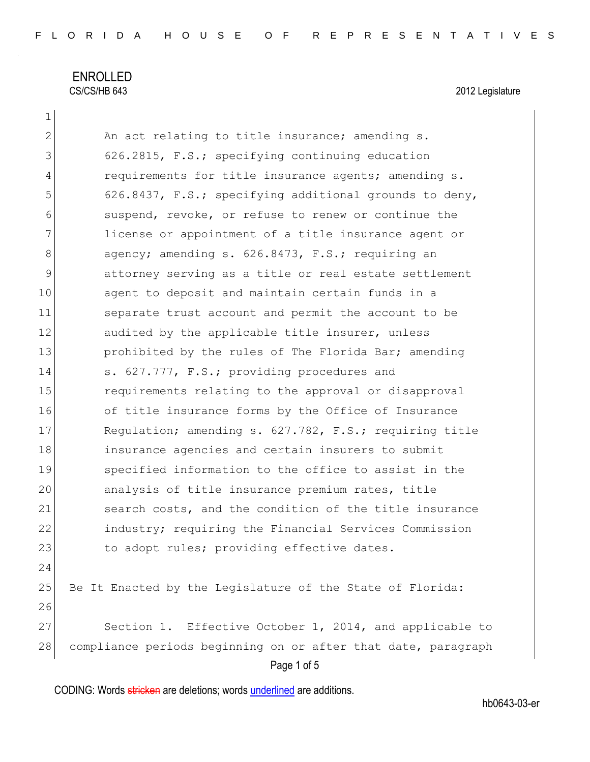# ENROLLED CS/CS/HB 643 2012 Legislature

1

Page 1 of 5 2 An act relating to title insurance; amending s. 3 626.2815, F.S.; specifying continuing education 4 requirements for title insurance agents; amending s. 5 626.8437, F.S.; specifying additional grounds to deny, 6 suspend, revoke, or refuse to renew or continue the 7 1 license or appointment of a title insurance agent or 8 agency; amending s. 626.8473, F.S.; requiring an 9 attorney serving as a title or real estate settlement 10 agent to deposit and maintain certain funds in a 11 separate trust account and permit the account to be 12 audited by the applicable title insurer, unless 13 prohibited by the rules of The Florida Bar; amending 14 s. 627.777, F.S.; providing procedures and 15 15 requirements relating to the approval or disapproval 16 of title insurance forms by the Office of Insurance 17 Requlation; amending s. 627.782, F.S.; requiring title 18 insurance agencies and certain insurers to submit 19 specified information to the office to assist in the 20 analysis of title insurance premium rates, title 21 search costs, and the condition of the title insurance 22 industry; requiring the Financial Services Commission 23 to adopt rules; providing effective dates. 24 25 Be It Enacted by the Legislature of the State of Florida: 26 27 Section 1. Effective October 1, 2014, and applicable to 28 compliance periods beginning on or after that date, paragraph

CODING: Words stricken are deletions; words underlined are additions.

hb0643-03-er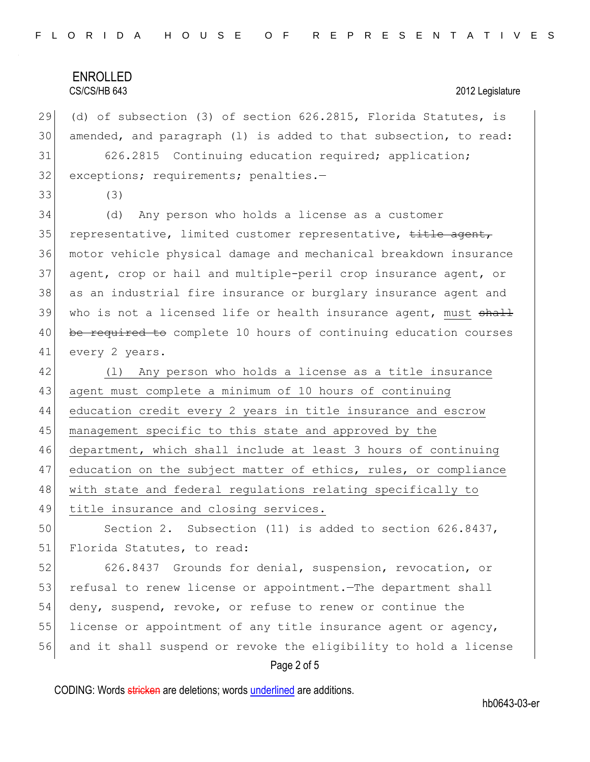### ENROLLED CS/CS/HB 643 2012 Legislature

29 (d) of subsection (3) of section 626.2815, Florida Statutes, is 30 amended, and paragraph (l) is added to that subsection, to read:

31 626.2815 Continuing education required; application; 32 exceptions; requirements; penalties.-

33 (3)

 (d) Any person who holds a license as a customer 35 representative, limited customer representative, title agent, motor vehicle physical damage and mechanical breakdown insurance agent, crop or hail and multiple-peril crop insurance agent, or as an industrial fire insurance or burglary insurance agent and 39 who is not a licensed life or health insurance agent, must shall 40 be required to complete 10 hours of continuing education courses every 2 years.

42 (1) Any person who holds a license as a title insurance agent must complete a minimum of 10 hours of continuing education credit every 2 years in title insurance and escrow management specific to this state and approved by the department, which shall include at least 3 hours of continuing 47 education on the subject matter of ethics, rules, or compliance with state and federal regulations relating specifically to 49 title insurance and closing services.

50 Section 2. Subsection (11) is added to section 626.8437, 51 Florida Statutes, to read:

52 626.8437 Grounds for denial, suspension, revocation, or 53 refusal to renew license or appointment.—The department shall 54 deny, suspend, revoke, or refuse to renew or continue the 55 license or appointment of any title insurance agent or agency, 56 and it shall suspend or revoke the eligibility to hold a license

#### Page 2 of 5

CODING: Words stricken are deletions; words underlined are additions.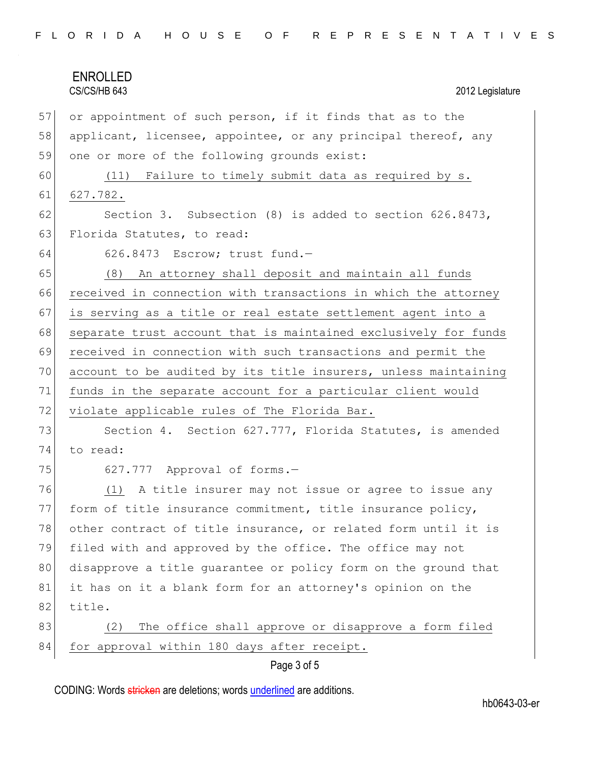| FLORIDA HOUSE OF REPRESENTATIVES |  |
|----------------------------------|--|
|----------------------------------|--|

|    | <b>ENROLLED</b>                                                 |
|----|-----------------------------------------------------------------|
|    | CS/CS/HB 643<br>2012 Legislature                                |
| 57 | or appointment of such person, if it finds that as to the       |
| 58 | applicant, licensee, appointee, or any principal thereof, any   |
| 59 | one or more of the following grounds exist:                     |
| 60 | Failure to timely submit data as required by s.<br>(11)         |
| 61 | 627.782.                                                        |
| 62 | Section 3. Subsection $(8)$ is added to section $626.8473$ ,    |
| 63 | Florida Statutes, to read:                                      |
| 64 | 626.8473 Escrow; trust fund.-                                   |
| 65 | (8) An attorney shall deposit and maintain all funds            |
| 66 | received in connection with transactions in which the attorney  |
| 67 | is serving as a title or real estate settlement agent into a    |
| 68 | separate trust account that is maintained exclusively for funds |
| 69 | received in connection with such transactions and permit the    |
| 70 | account to be audited by its title insurers, unless maintaining |
| 71 | funds in the separate account for a particular client would     |
| 72 | violate applicable rules of The Florida Bar.                    |
| 73 | Section 4. Section 627.777, Florida Statutes, is amended        |
| 74 | to read:                                                        |
| 75 | 627.777 Approval of forms.-                                     |
| 76 | A title insurer may not issue or agree to issue any<br>(1)      |
| 77 | form of title insurance commitment, title insurance policy,     |
| 78 | other contract of title insurance, or related form until it is  |
| 79 | filed with and approved by the office. The office may not       |
| 80 | disapprove a title guarantee or policy form on the ground that  |
| 81 | it has on it a blank form for an attorney's opinion on the      |
| 82 | title.                                                          |
| 83 | The office shall approve or disapprove a form filed<br>(2)      |
| 84 | for approval within 180 days after receipt.                     |
|    | Page 3 of 5                                                     |

CODING: Words stricken are deletions; words underlined are additions.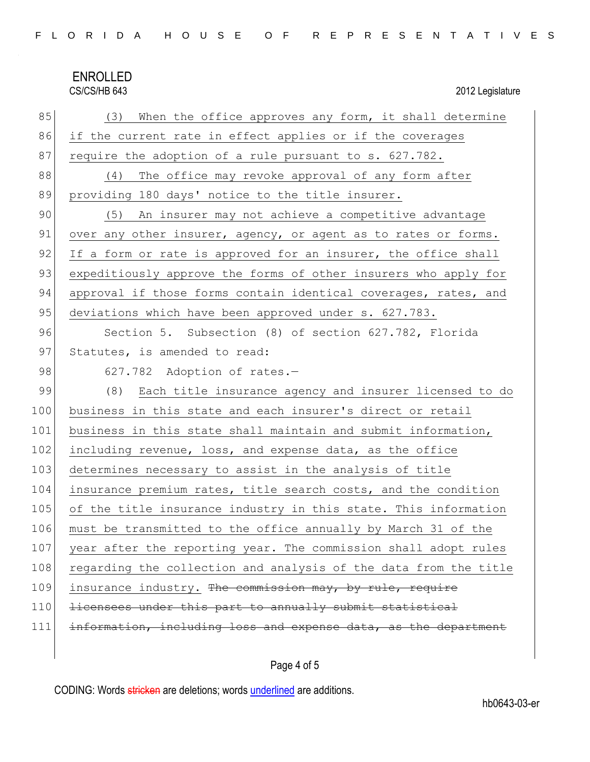# ENROLLED<br>CS/CS/HB 643

2012 Legislature

| 85  | When the office approves any form, it shall determine<br>(3)     |
|-----|------------------------------------------------------------------|
| 86  | if the current rate in effect applies or if the coverages        |
| 87  | require the adoption of a rule pursuant to s. 627.782.           |
| 88  | The office may revoke approval of any form after<br>(4)          |
| 89  | providing 180 days' notice to the title insurer.                 |
| 90  | (5) An insurer may not achieve a competitive advantage           |
| 91  | over any other insurer, agency, or agent as to rates or forms.   |
| 92  | If a form or rate is approved for an insurer, the office shall   |
| 93  | expeditiously approve the forms of other insurers who apply for  |
| 94  | approval if those forms contain identical coverages, rates, and  |
| 95  | deviations which have been approved under s. 627.783.            |
| 96  | Section 5. Subsection (8) of section 627.782, Florida            |
| 97  | Statutes, is amended to read:                                    |
| 98  | 627.782 Adoption of rates.-                                      |
| 99  | Each title insurance agency and insurer licensed to do<br>(8)    |
| 100 | business in this state and each insurer's direct or retail       |
| 101 | business in this state shall maintain and submit information,    |
| 102 | including revenue, loss, and expense data, as the office         |
| 103 | determines necessary to assist in the analysis of title          |
| 104 | insurance premium rates, title search costs, and the condition   |
| 105 | of the title insurance industry in this state. This information  |
| 106 | must be transmitted to the office annually by March 31 of the    |
| 107 | year after the reporting year. The commission shall adopt rules  |
| 108 | regarding the collection and analysis of the data from the title |
| 109 | insurance industry. The commission may, by rule, require         |
| 110 | licensees under this part to annually submit statistical         |
| 111 | information, including loss and expense data, as the department  |

# Page 4 of 5

CODING: Words stricken are deletions; words underlined are additions.